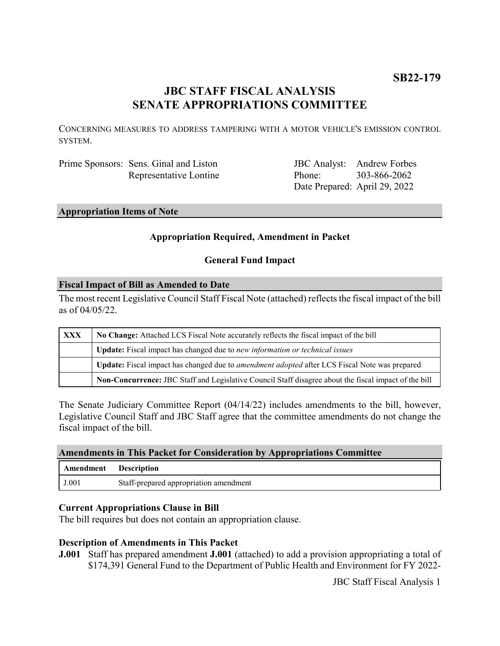# **JBC STAFF FISCAL ANALYSIS SENATE APPROPRIATIONS COMMITTEE**

CONCERNING MEASURES TO ADDRESS TAMPERING WITH A MOTOR VEHICLE'S EMISSION CONTROL SYSTEM.

Prime Sponsors: Sens. Ginal and Liston Representative Lontine

JBC Analyst: Andrew Forbes Phone: Date Prepared: April 29, 2022 303-866-2062

**Appropriation Items of Note**

## **Appropriation Required, Amendment in Packet**

### **General Fund Impact**

### **Fiscal Impact of Bill as Amended to Date**

The most recent Legislative Council Staff Fiscal Note (attached) reflects the fiscal impact of the bill as of 04/05/22.

| <b>XXX</b> | No Change: Attached LCS Fiscal Note accurately reflects the fiscal impact of the bill                 |
|------------|-------------------------------------------------------------------------------------------------------|
|            | <b>Update:</b> Fiscal impact has changed due to new information or technical issues                   |
|            | Update: Fiscal impact has changed due to <i>amendment adopted</i> after LCS Fiscal Note was prepared  |
|            | Non-Concurrence: JBC Staff and Legislative Council Staff disagree about the fiscal impact of the bill |

The Senate Judiciary Committee Report (04/14/22) includes amendments to the bill, however, Legislative Council Staff and JBC Staff agree that the committee amendments do not change the fiscal impact of the bill.

#### **Amendments in This Packet for Consideration by Appropriations Committee**

| Amendment | <b>Description</b>                     |
|-----------|----------------------------------------|
| J.001     | Staff-prepared appropriation amendment |

### **Current Appropriations Clause in Bill**

The bill requires but does not contain an appropriation clause.

### **Description of Amendments in This Packet**

**J.001** Staff has prepared amendment **J.001** (attached) to add a provision appropriating a total of \$174,391 General Fund to the Department of Public Health and Environment for FY 2022-

JBC Staff Fiscal Analysis 1